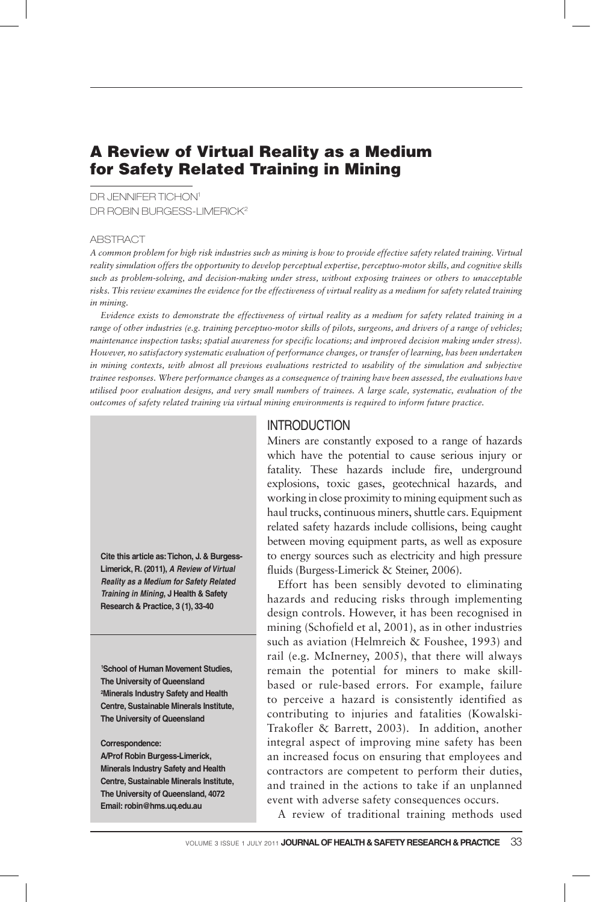# A Review of Virtual Reality as a Medium for Safety Related Training in Mining

DR JENNIFER TICHON1 DR ROBIN BURGESS-LIMERICK<sup>2</sup>

#### ABSTRACT

*A common problem for high risk industries such as mining is how to provide effective safety related training. Virtual reality simulation offers the opportunity to develop perceptual expertise, perceptuo-motor skills, and cognitive skills such as problem-solving, and decision-making under stress, without exposing trainees or others to unacceptable risks. This review examines the evidence for the effectiveness of virtual reality as a medium for safety related training in mining.*

*Evidence exists to demonstrate the effectiveness of virtual reality as a medium for safety related training in a range of other industries (e.g. training perceptuo-motor skills of pilots, surgeons, and drivers of a range of vehicles; maintenance inspection tasks; spatial awareness for specific locations; and improved decision making under stress). However, no satisfactory systematic evaluation of performance changes, or transfer of learning, has been undertaken in mining contexts, with almost all previous evaluations restricted to usability of the simulation and subjective trainee responses. Where performance changes as a consequence of training have been assessed, the evaluations have utilised poor evaluation designs, and very small numbers of trainees. A large scale, systematic, evaluation of the outcomes of safety related training via virtual mining environments is required to inform future practice.*

**Cite this article as: Tichon, J. & Burgess-Limerick, R. (2011), A Review of Virtual Reality as a Medium for Safety Related Training in Mining, J Health & Safety Research & Practice, 3 (1), 33-40**

**1 School of Human Movement Studies, The University of Queensland 2 Minerals Industry Safety and Health Centre, Sustainable Minerals Institute, The University of Queensland**

**Correspondence:** 

**A/Prof Robin Burgess-Limerick, Minerals Industry Safety and Health Centre, Sustainable Minerals Institute, The University of Queensland, 4072 Email: robin@hms.uq.edu.au**

#### **INTRODUCTION**

Miners are constantly exposed to a range of hazards which have the potential to cause serious injury or fatality. These hazards include fire, underground explosions, toxic gases, geotechnical hazards, and working in close proximity to mining equipment such as haul trucks, continuous miners, shuttle cars. Equipment related safety hazards include collisions, being caught between moving equipment parts, as well as exposure to energy sources such as electricity and high pressure fluids (Burgess-Limerick & Steiner, 2006).

Effort has been sensibly devoted to eliminating hazards and reducing risks through implementing design controls. However, it has been recognised in mining (Schofield et al, 2001), as in other industries such as aviation (Helmreich & Foushee, 1993) and rail (e.g. McInerney, 2005), that there will always remain the potential for miners to make skillbased or rule-based errors. For example, failure to perceive a hazard is consistently identified as contributing to injuries and fatalities (Kowalski-Trakofler & Barrett, 2003). In addition, another integral aspect of improving mine safety has been an increased focus on ensuring that employees and contractors are competent to perform their duties, and trained in the actions to take if an unplanned event with adverse safety consequences occurs.

A review of traditional training methods used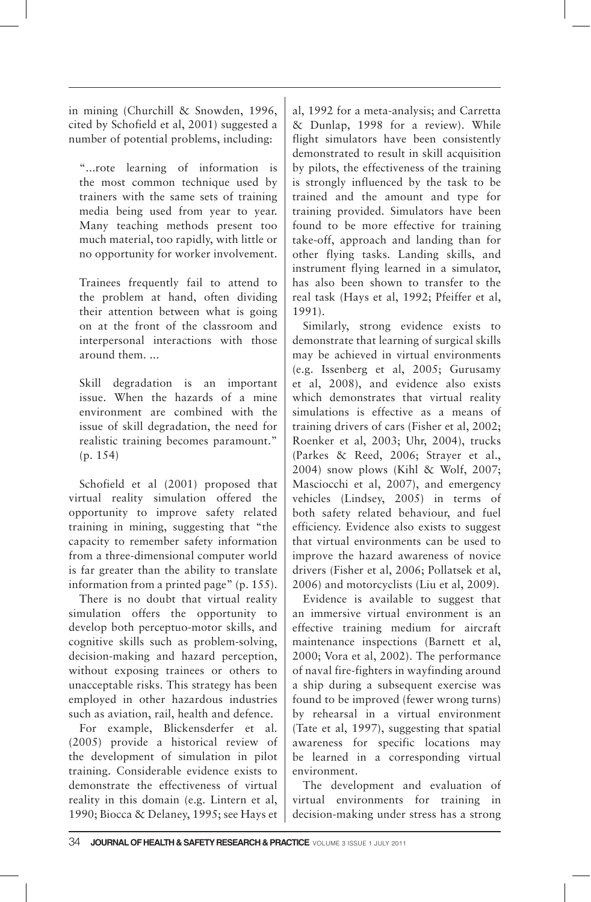in mining (Churchill & Snowden, 1996, cited by Schofield et al, 2001) suggested a number of potential problems, including:

"...rote learning of information is the most common technique used by trainers with the same sets of training media being used from year to year. Many teaching methods present too much material, too rapidly, with little or no opportunity for worker involvement.

Trainees frequently fail to attend to the problem at hand, often dividing their attention between what is going on at the front of the classroom and interpersonal interactions with those around them. ...

Skill degradation is an important issue. When the hazards of a mine environment are combined with the issue of skill degradation, the need for realistic training becomes paramount." (p. 154)

Schofield et al (2001) proposed that virtual reality simulation offered the opportunity to improve safety related training in mining, suggesting that "the capacity to remember safety information from a three-dimensional computer world is far greater than the ability to translate information from a printed page" (p. 155).

There is no doubt that virtual reality simulation offers the opportunity to develop both perceptuo-motor skills, and cognitive skills such as problem-solving, decision-making and hazard perception, without exposing trainees or others to unacceptable risks. This strategy has been employed in other hazardous industries such as aviation, rail, health and defence.

For example, Blickensderfer et al. (2005) provide a historical review of the development of simulation in pilot training. Considerable evidence exists to demonstrate the effectiveness of virtual reality in this domain (e.g. Lintern et al, 1990; Biocca & Delaney, 1995; see Hays et al, 1992 for a meta-analysis; and Carretta & Dunlap, 1998 for a review). While flight simulators have been consistently demonstrated to result in skill acquisition by pilots, the effectiveness of the training is strongly influenced by the task to be trained and the amount and type for training provided. Simulators have been found to be more effective for training take-off, approach and landing than for other flying tasks. Landing skills, and instrument flying learned in a simulator, has also been shown to transfer to the real task (Hays et al, 1992; Pfeiffer et al, 1991).

Similarly, strong evidence exists to demonstrate that learning of surgical skills may be achieved in virtual environments (e.g. Issenberg et al, 2005; Gurusamy et al, 2008), and evidence also exists which demonstrates that virtual reality simulations is effective as a means of training drivers of cars (Fisher et al, 2002; Roenker et al, 2003; Uhr, 2004), trucks (Parkes & Reed, 2006; Strayer et al., 2004) snow plows (Kihl & Wolf, 2007; Masciocchi et al, 2007), and emergency vehicles (Lindsey, 2005) in terms of both safety related behaviour, and fuel efficiency. Evidence also exists to suggest that virtual environments can be used to improve the hazard awareness of novice drivers (Fisher et al, 2006; Pollatsek et al, 2006) and motorcyclists (Liu et al, 2009).

Evidence is available to suggest that an immersive virtual environment is an effective training medium for aircraft maintenance inspections (Barnett et al, 2000; Vora et al, 2002). The performance of naval fire-fighters in wayfinding around a ship during a subsequent exercise was found to be improved (fewer wrong turns) by rehearsal in a virtual environment (Tate et al, 1997), suggesting that spatial awareness for specific locations may be learned in a corresponding virtual environment.

The development and evaluation of virtual environments for training in decision-making under stress has a strong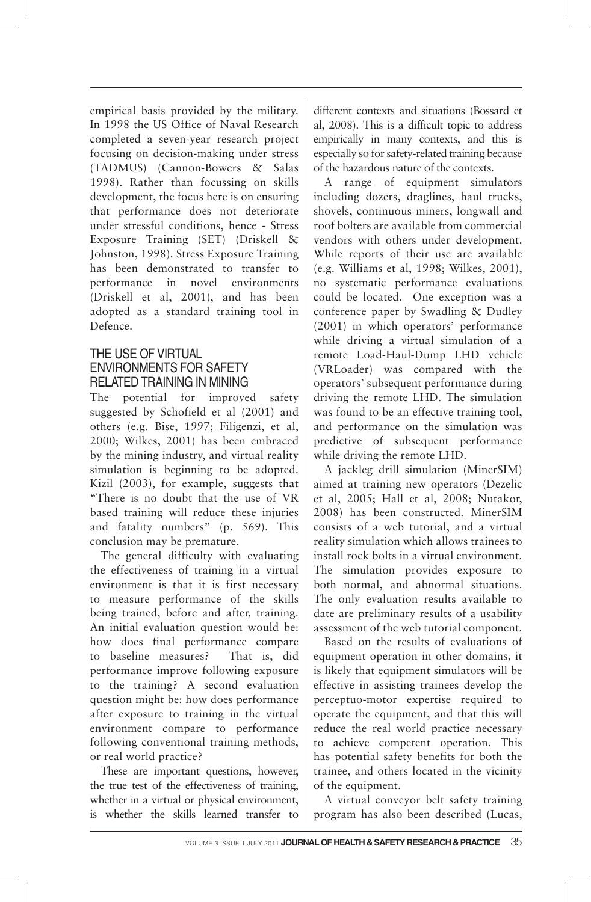empirical basis provided by the military. In 1998 the US Office of Naval Research completed a seven-year research project focusing on decision-making under stress (TADMUS) (Cannon-Bowers & Salas 1998). Rather than focussing on skills development, the focus here is on ensuring that performance does not deteriorate under stressful conditions, hence - Stress Exposure Training (SET) (Driskell & Johnston, 1998). Stress Exposure Training has been demonstrated to transfer to performance in novel environments (Driskell et al, 2001), and has been adopted as a standard training tool in Defence.

### THE USE OF VIRTUAL ENVIRONMENTS FOR SAFETY RELATED TRAINING IN MINING

The potential for improved safety suggested by Schofield et al (2001) and others (e.g. Bise, 1997; Filigenzi, et al, 2000; Wilkes, 2001) has been embraced by the mining industry, and virtual reality simulation is beginning to be adopted. Kizil (2003), for example, suggests that "There is no doubt that the use of VR based training will reduce these injuries and fatality numbers" (p. 569). This conclusion may be premature.

The general difficulty with evaluating the effectiveness of training in a virtual environment is that it is first necessary to measure performance of the skills being trained, before and after, training. An initial evaluation question would be: how does final performance compare to baseline measures? That is, did performance improve following exposure to the training? A second evaluation question might be: how does performance after exposure to training in the virtual environment compare to performance following conventional training methods, or real world practice?

These are important questions, however, the true test of the effectiveness of training, whether in a virtual or physical environment, is whether the skills learned transfer to

different contexts and situations (Bossard et al, 2008). This is a difficult topic to address empirically in many contexts, and this is especially so for safety-related training because of the hazardous nature of the contexts.

A range of equipment simulators including dozers, draglines, haul trucks, shovels, continuous miners, longwall and roof bolters are available from commercial vendors with others under development. While reports of their use are available (e.g. Williams et al, 1998; Wilkes, 2001), no systematic performance evaluations could be located. One exception was a conference paper by Swadling & Dudley (2001) in which operators' performance while driving a virtual simulation of a remote Load-Haul-Dump LHD vehicle (VRLoader) was compared with the operators' subsequent performance during driving the remote LHD. The simulation was found to be an effective training tool, and performance on the simulation was predictive of subsequent performance while driving the remote LHD.

A jackleg drill simulation (MinerSIM) aimed at training new operators (Dezelic et al, 2005; Hall et al, 2008; Nutakor, 2008) has been constructed. MinerSIM consists of a web tutorial, and a virtual reality simulation which allows trainees to install rock bolts in a virtual environment. The simulation provides exposure to both normal, and abnormal situations. The only evaluation results available to date are preliminary results of a usability assessment of the web tutorial component.

Based on the results of evaluations of equipment operation in other domains, it is likely that equipment simulators will be effective in assisting trainees develop the perceptuo-motor expertise required to operate the equipment, and that this will reduce the real world practice necessary to achieve competent operation. This has potential safety benefits for both the trainee, and others located in the vicinity of the equipment.

A virtual conveyor belt safety training program has also been described (Lucas,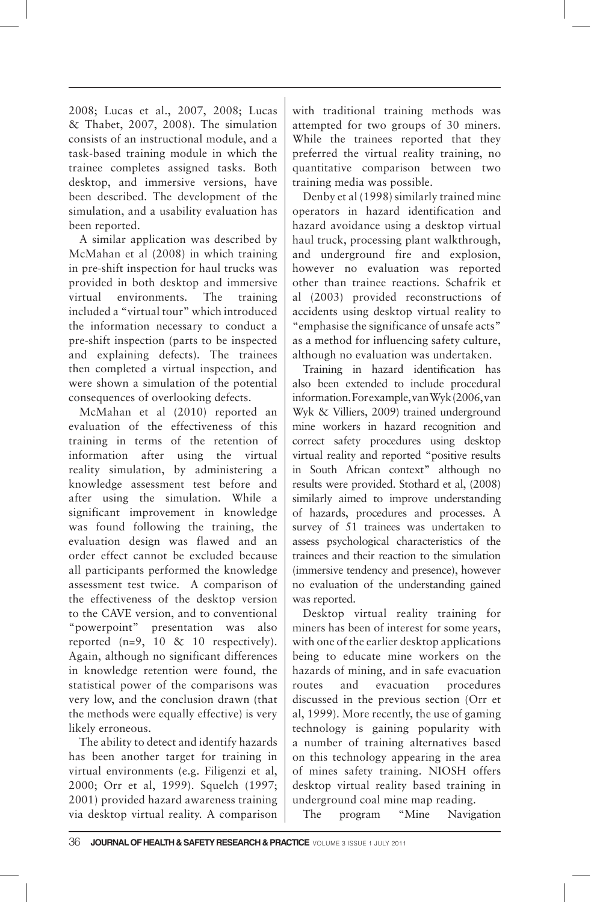2008; Lucas et al., 2007, 2008; Lucas & Thabet, 2007, 2008). The simulation consists of an instructional module, and a task-based training module in which the trainee completes assigned tasks. Both desktop, and immersive versions, have been described. The development of the simulation, and a usability evaluation has been reported.

A similar application was described by McMahan et al (2008) in which training in pre-shift inspection for haul trucks was provided in both desktop and immersive virtual environments. The training included a "virtual tour" which introduced the information necessary to conduct a pre-shift inspection (parts to be inspected and explaining defects). The trainees then completed a virtual inspection, and were shown a simulation of the potential consequences of overlooking defects.

McMahan et al (2010) reported an evaluation of the effectiveness of this training in terms of the retention of information after using the virtual reality simulation, by administering a knowledge assessment test before and after using the simulation. While a significant improvement in knowledge was found following the training, the evaluation design was flawed and an order effect cannot be excluded because all participants performed the knowledge assessment test twice. A comparison of the effectiveness of the desktop version to the CAVE version, and to conventional "powerpoint" presentation was also reported  $(n=9, 10 \& 10$  respectively). Again, although no significant differences in knowledge retention were found, the statistical power of the comparisons was very low, and the conclusion drawn (that the methods were equally effective) is very likely erroneous.

The ability to detect and identify hazards has been another target for training in virtual environments (e.g. Filigenzi et al, 2000; Orr et al, 1999). Squelch (1997; 2001) provided hazard awareness training via desktop virtual reality. A comparison with traditional training methods was attempted for two groups of 30 miners. While the trainees reported that they preferred the virtual reality training, no quantitative comparison between two training media was possible.

Denby et al (1998) similarly trained mine operators in hazard identification and hazard avoidance using a desktop virtual haul truck, processing plant walkthrough, and underground fire and explosion, however no evaluation was reported other than trainee reactions. Schafrik et al (2003) provided reconstructions of accidents using desktop virtual reality to "emphasise the significance of unsafe acts" as a method for influencing safety culture, although no evaluation was undertaken.

Training in hazard identification has also been extended to include procedural information. For example, van Wyk (2006, van Wyk & Villiers, 2009) trained underground mine workers in hazard recognition and correct safety procedures using desktop virtual reality and reported "positive results in South African context" although no results were provided. Stothard et al, (2008) similarly aimed to improve understanding of hazards, procedures and processes. A survey of 51 trainees was undertaken to assess psychological characteristics of the trainees and their reaction to the simulation (immersive tendency and presence), however no evaluation of the understanding gained was reported.

Desktop virtual reality training for miners has been of interest for some years, with one of the earlier desktop applications being to educate mine workers on the hazards of mining, and in safe evacuation routes and evacuation procedures discussed in the previous section (Orr et al, 1999). More recently, the use of gaming technology is gaining popularity with a number of training alternatives based on this technology appearing in the area of mines safety training. NIOSH offers desktop virtual reality based training in underground coal mine map reading.

The program "Mine Navigation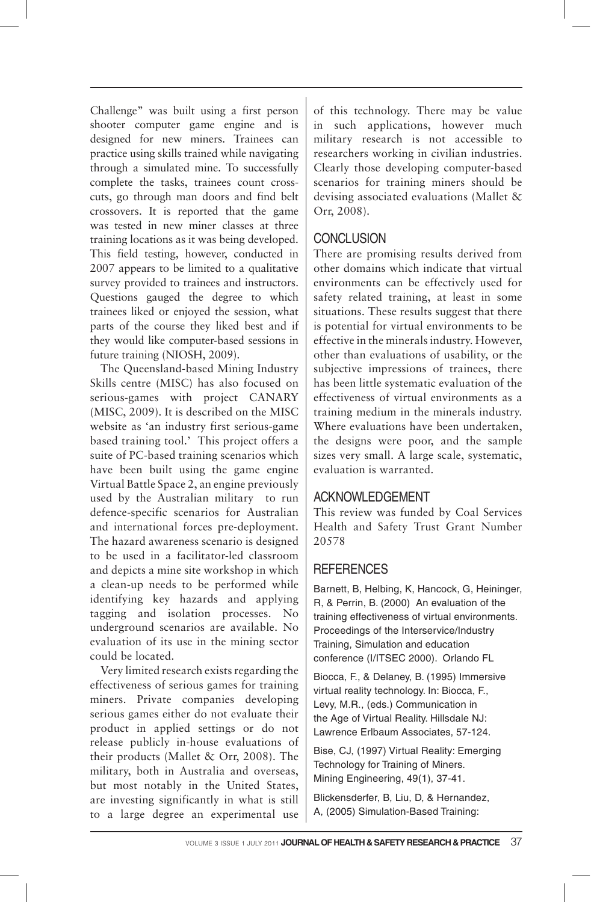Challenge" was built using a first person shooter computer game engine and is designed for new miners. Trainees can practice using skills trained while navigating through a simulated mine. To successfully complete the tasks, trainees count crosscuts, go through man doors and find belt crossovers. It is reported that the game was tested in new miner classes at three training locations as it was being developed. This field testing, however, conducted in 2007 appears to be limited to a qualitative survey provided to trainees and instructors. Questions gauged the degree to which trainees liked or enjoyed the session, what parts of the course they liked best and if they would like computer-based sessions in future training (NIOSH, 2009).

The Queensland-based Mining Industry Skills centre (MISC) has also focused on serious-games with project CANARY (MISC, 2009). It is described on the MISC website as 'an industry first serious-game based training tool.' This project offers a suite of PC-based training scenarios which have been built using the game engine Virtual Battle Space 2, an engine previously used by the Australian military to run defence-specific scenarios for Australian and international forces pre-deployment. The hazard awareness scenario is designed to be used in a facilitator-led classroom and depicts a mine site workshop in which a clean-up needs to be performed while identifying key hazards and applying tagging and isolation processes. No underground scenarios are available. No evaluation of its use in the mining sector could be located.

Very limited research exists regarding the effectiveness of serious games for training miners. Private companies developing serious games either do not evaluate their product in applied settings or do not release publicly in-house evaluations of their products (Mallet & Orr, 2008). The military, both in Australia and overseas, but most notably in the United States, are investing significantly in what is still to a large degree an experimental use

of this technology. There may be value in such applications, however much military research is not accessible to researchers working in civilian industries. Clearly those developing computer-based scenarios for training miners should be devising associated evaluations (Mallet & Orr, 2008).

## **CONCLUSION**

There are promising results derived from other domains which indicate that virtual environments can be effectively used for safety related training, at least in some situations. These results suggest that there is potential for virtual environments to be effective in the minerals industry. However, other than evaluations of usability, or the subjective impressions of trainees, there has been little systematic evaluation of the effectiveness of virtual environments as a training medium in the minerals industry. Where evaluations have been undertaken, the designs were poor, and the sample sizes very small. A large scale, systematic, evaluation is warranted.

## ACKNOWLEDGEMENT

This review was funded by Coal Services Health and Safety Trust Grant Number 20578

# **REFERENCES**

Barnett, B, Helbing, K, Hancock, G, Heininger, R, & Perrin, B. (2000) An evaluation of the training effectiveness of virtual environments. Proceedings of the Interservice/Industry Training, Simulation and education conference (I/ITSEC 2000). Orlando FL

Biocca, F., & Delaney, B. (1995) Immersive virtual reality technology. In: Biocca, F., Levy, M.R., (eds.) Communication in the Age of Virtual Reality. Hillsdale NJ: Lawrence Erlbaum Associates, 57-124.

Bise, CJ, (1997) Virtual Reality: Emerging Technology for Training of Miners. Mining Engineering, 49(1), 37-41.

Blickensderfer, B, Liu, D, & Hernandez, A, (2005) Simulation-Based Training: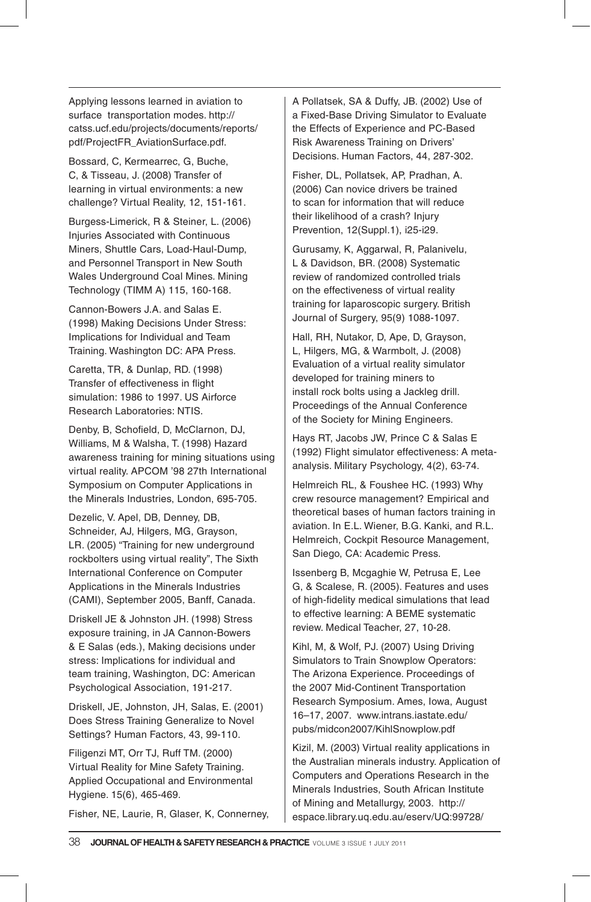Applying lessons learned in aviation to surface transportation modes. http:// catss.ucf.edu/projects/documents/reports/ pdf/ProjectFR\_AviationSurface.pdf.

Bossard, C, Kermearrec, G, Buche, C, & Tisseau, J. (2008) Transfer of learning in virtual environments: a new challenge? Virtual Reality, 12, 151-161.

Burgess-Limerick, R & Steiner, L. (2006) Injuries Associated with Continuous Miners, Shuttle Cars, Load-Haul-Dump, and Personnel Transport in New South Wales Underground Coal Mines. Mining Technology (TIMM A) 115, 160-168.

Cannon-Bowers J.A. and Salas E. (1998) Making Decisions Under Stress: Implications for Individual and Team Training. Washington DC: APA Press.

Caretta, TR, & Dunlap, RD. (1998) Transfer of effectiveness in flight simulation: 1986 to 1997. US Airforce Research Laboratories: NTIS.

Denby, B, Schofield, D, McClarnon, DJ, Williams, M & Walsha, T. (1998) Hazard awareness training for mining situations using virtual reality. APCOM '98 27th International Symposium on Computer Applications in the Minerals Industries, London, 695-705.

Dezelic, V. Apel, DB, Denney, DB, Schneider, AJ, Hilgers, MG, Grayson, LR. (2005) "Training for new underground rockbolters using virtual reality", The Sixth International Conference on Computer Applications in the Minerals Industries (CAMI), September 2005, Banff, Canada.

Driskell JE & Johnston JH. (1998) Stress exposure training, in JA Cannon-Bowers & E Salas (eds.), Making decisions under stress: Implications for individual and team training, Washington, DC: American Psychological Association, 191-217.

Driskell, JE, Johnston, JH, Salas, E. (2001) Does Stress Training Generalize to Novel Settings? Human Factors, 43, 99-110.

Filigenzi MT, Orr TJ, Ruff TM. (2000) Virtual Reality for Mine Safety Training. Applied Occupational and Environmental Hygiene. 15(6), 465-469.

Fisher, NE, Laurie, R, Glaser, K, Connerney,

A Pollatsek, SA & Duffy, JB. (2002) Use of a Fixed-Base Driving Simulator to Evaluate the Effects of Experience and PC-Based Risk Awareness Training on Drivers' Decisions. Human Factors, 44, 287-302.

Fisher, DL, Pollatsek, AP, Pradhan, A. (2006) Can novice drivers be trained to scan for information that will reduce their likelihood of a crash? Injury Prevention, 12(Suppl.1), i25-i29.

Gurusamy, K, Aggarwal, R, Palanivelu, L & Davidson, BR. (2008) Systematic review of randomized controlled trials on the effectiveness of virtual reality training for laparoscopic surgery. British Journal of Surgery, 95(9) 1088-1097.

Hall, RH, Nutakor, D, Ape, D, Grayson, L, Hilgers, MG, & Warmbolt, J. (2008) Evaluation of a virtual reality simulator developed for training miners to install rock bolts using a Jackleg drill. Proceedings of the Annual Conference of the Society for Mining Engineers.

Hays RT, Jacobs JW, Prince C & Salas E (1992) Flight simulator effectiveness: A metaanalysis. Military Psychology, 4(2), 63-74.

Helmreich RL, & Foushee HC. (1993) Why crew resource management? Empirical and theoretical bases of human factors training in aviation. In E.L. Wiener, B.G. Kanki, and R.L. Helmreich, Cockpit Resource Management, San Diego, CA: Academic Press.

Issenberg B, Mcgaghie W, Petrusa E, Lee G, & Scalese, R. (2005). Features and uses of high-fidelity medical simulations that lead to effective learning: A BEME systematic review. Medical Teacher, 27, 10-28.

Kihl, M, & Wolf, PJ. (2007) Using Driving Simulators to Train Snowplow Operators: The Arizona Experience. Proceedings of the 2007 Mid-Continent Transportation Research Symposium. Ames, Iowa, August 16–17, 2007. www.intrans.iastate.edu/ pubs/midcon2007/KihlSnowplow.pdf

Kizil, M. (2003) Virtual reality applications in the Australian minerals industry. Application of Computers and Operations Research in the Minerals Industries, South African Institute of Mining and Metallurgy, 2003. http:// espace.library.uq.edu.au/eserv/UQ:99728/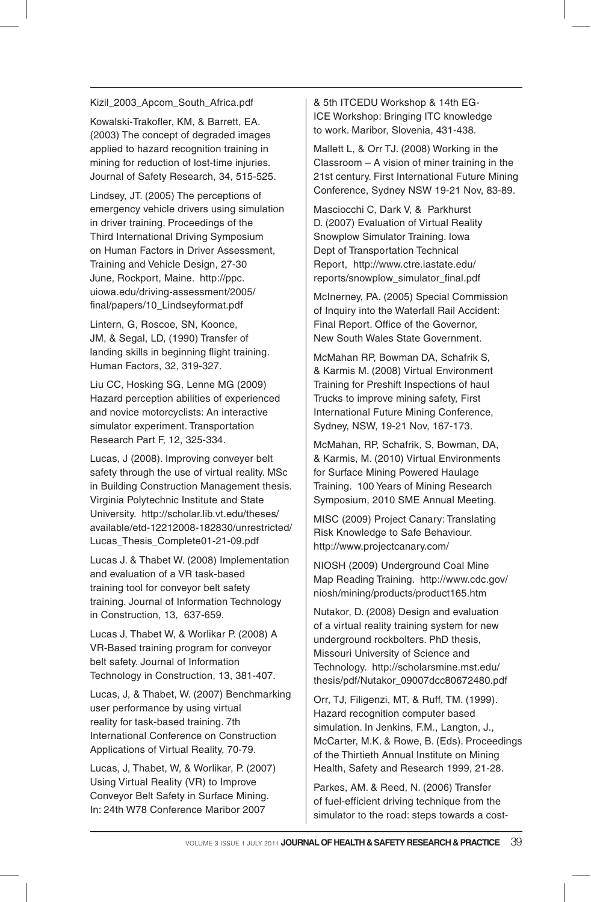#### Kizil 2003 Apcom South Africa.pdf

Kowalski-Trakofler, KM, & Barrett, EA. (2003) The concept of degraded images applied to hazard recognition training in mining for reduction of lost-time injuries. Journal of Safety Research, 34, 515-525.

Lindsey, JT. (2005) The perceptions of emergency vehicle drivers using simulation in driver training. Proceedings of the Third International Driving Symposium on Human Factors in Driver Assessment, Training and Vehicle Design, 27-30 June, Rockport, Maine. http://ppc. uiowa.edu/driving-assessment/2005/ final/papers/10\_Lindseyformat.pdf

Lintern, G, Roscoe, SN, Koonce, JM, & Segal, LD, (1990) Transfer of landing skills in beginning flight training. Human Factors, 32, 319-327.

Liu CC, Hosking SG, Lenne MG (2009) Hazard perception abilities of experienced and novice motorcyclists: An interactive simulator experiment. Transportation Research Part F, 12, 325-334.

Lucas, J (2008). Improving conveyer belt safety through the use of virtual reality. MSc in Building Construction Management thesis. Virginia Polytechnic Institute and State University. http://scholar.lib.vt.edu/theses/ available/etd-12212008-182830/unrestricted/ Lucas\_Thesis\_Complete01-21-09.pdf

Lucas J. & Thabet W. (2008) Implementation and evaluation of a VR task-based training tool for conveyor belt safety training. Journal of Information Technology in Construction, 13, 637-659.

Lucas J, Thabet W, & Worlikar P. (2008) A VR-Based training program for conveyor belt safety. Journal of Information Technology in Construction, 13, 381-407.

Lucas, J, & Thabet, W. (2007) Benchmarking user performance by using virtual reality for task-based training. 7th International Conference on Construction Applications of Virtual Reality, 70-79.

Lucas, J, Thabet, W, & Worlikar, P. (2007) Using Virtual Reality (VR) to Improve Conveyor Belt Safety in Surface Mining. In: 24th W78 Conference Maribor 2007

& 5th ITCEDU Workshop & 14th EG-ICE Workshop: Bringing ITC knowledge to work. Maribor, Slovenia, 431-438.

Mallett L, & Orr TJ. (2008) Working in the Classroom – A vision of miner training in the 21st century. First International Future Mining Conference, Sydney NSW 19-21 Nov, 83-89.

Masciocchi C, Dark V, & Parkhurst D. (2007) Evaluation of Virtual Reality Snowplow Simulator Training. Iowa Dept of Transportation Technical Report, http://www.ctre.iastate.edu/ reports/snowplow\_simulator\_final.pdf

McInerney, PA. (2005) Special Commission of Inquiry into the Waterfall Rail Accident: Final Report. Office of the Governor, New South Wales State Government.

McMahan RP, Bowman DA, Schafrik S, & Karmis M. (2008) Virtual Environment Training for Preshift Inspections of haul Trucks to improve mining safety, First International Future Mining Conference, Sydney, NSW, 19-21 Nov, 167-173.

McMahan, RP, Schafrik, S, Bowman, DA, & Karmis, M. (2010) Virtual Environments for Surface Mining Powered Haulage Training. 100 Years of Mining Research Symposium, 2010 SME Annual Meeting.

MISC (2009) Project Canary: Translating Risk Knowledge to Safe Behaviour. http://www.projectcanary.com/

NIOSH (2009) Underground Coal Mine Map Reading Training. http://www.cdc.gov/ niosh/mining/products/product165.htm

Nutakor, D. (2008) Design and evaluation of a virtual reality training system for new underground rockbolters. PhD thesis, Missouri University of Science and Technology. http://scholarsmine.mst.edu/ thesis/pdf/Nutakor\_09007dcc80672480.pdf

Orr, TJ, Filigenzi, MT, & Ruff, TM. (1999). Hazard recognition computer based simulation. In Jenkins, F.M., Langton, J., McCarter, M.K. & Rowe, B. (Eds). Proceedings of the Thirtieth Annual Institute on Mining Health, Safety and Research 1999, 21-28.

Parkes, AM. & Reed, N. (2006) Transfer of fuel-efficient driving technique from the simulator to the road: steps towards a cost